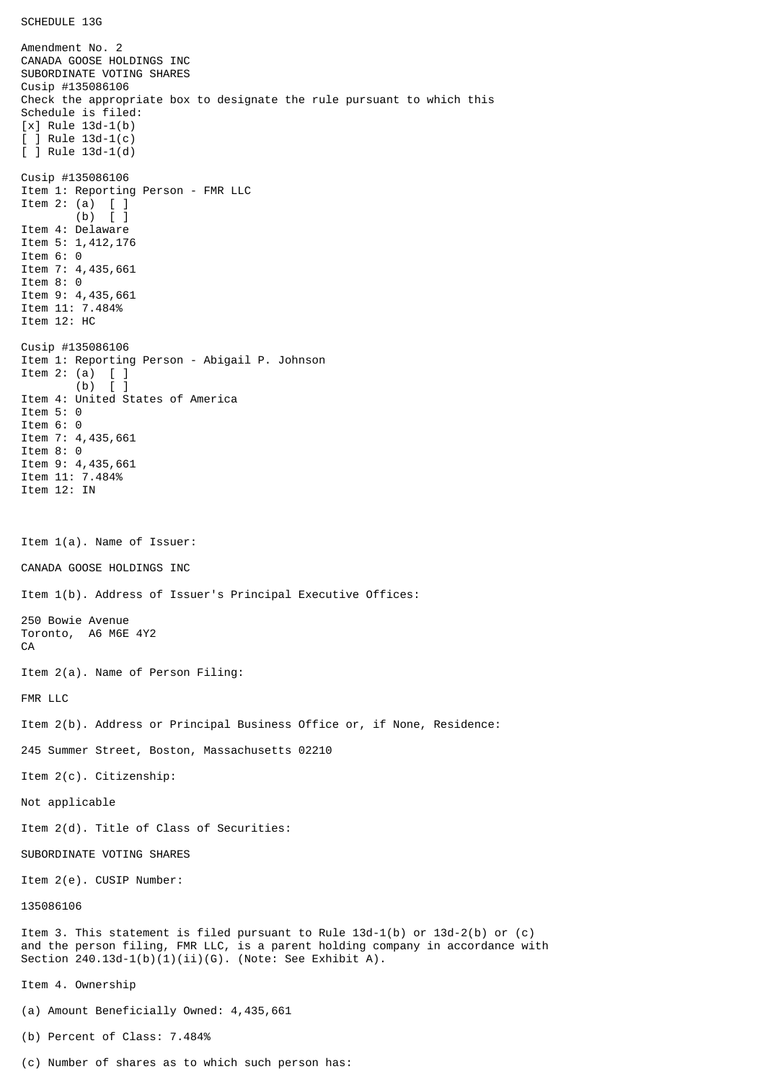Amendment No. 2 CANADA GOOSE HOLDINGS INC SUBORDINATE VOTING SHARES Cusip #135086106 Check the appropriate box to designate the rule pursuant to which this Schedule is filed: [x] Rule 13d-1(b) [ ] Rule 13d-1(c) [ ] Rule 13d-1(d) Cusip #135086106 Item 1: Reporting Person - FMR LLC Item 2: (a) [ ] (b) [ ] Item 4: Delaware Item 5: 1,412,176 Item 6: 0 Item 7: 4,435,661 Item 8: 0 Item 9: 4,435,661 Item 11: 7.484% Item 12: HC Cusip #135086106 Item 1: Reporting Person - Abigail P. Johnson Item 2: (a)  $\begin{bmatrix} 1 \\ 0 \end{bmatrix}$  $(b)$ Item 4: United States of America Item 5: 0 Item 6: 0 Item 7: 4,435,661 Item 8: 0 Item 9: 4,435,661 Item 11: 7.484% Item 12: IN Item 1(a). Name of Issuer: CANADA GOOSE HOLDINGS INC Item 1(b). Address of Issuer's Principal Executive Offices: 250 Bowie Avenue Toronto, A6 M6E 4Y2 CA Item 2(a). Name of Person Filing: FMR LLC Item 2(b). Address or Principal Business Office or, if None, Residence: 245 Summer Street, Boston, Massachusetts 02210 Item 2(c). Citizenship: Not applicable Item 2(d). Title of Class of Securities: SUBORDINATE VOTING SHARES Item 2(e). CUSIP Number: 135086106 Item 3. This statement is filed pursuant to Rule 13d-1(b) or 13d-2(b) or (c) and the person filing, FMR LLC, is a parent holding company in accordance with Section  $240.13d-1(b)(1)(ii)(G)$ . (Note: See Exhibit A). Item 4. Ownership (a) Amount Beneficially Owned: 4,435,661 (b) Percent of Class: 7.484%

(c) Number of shares as to which such person has: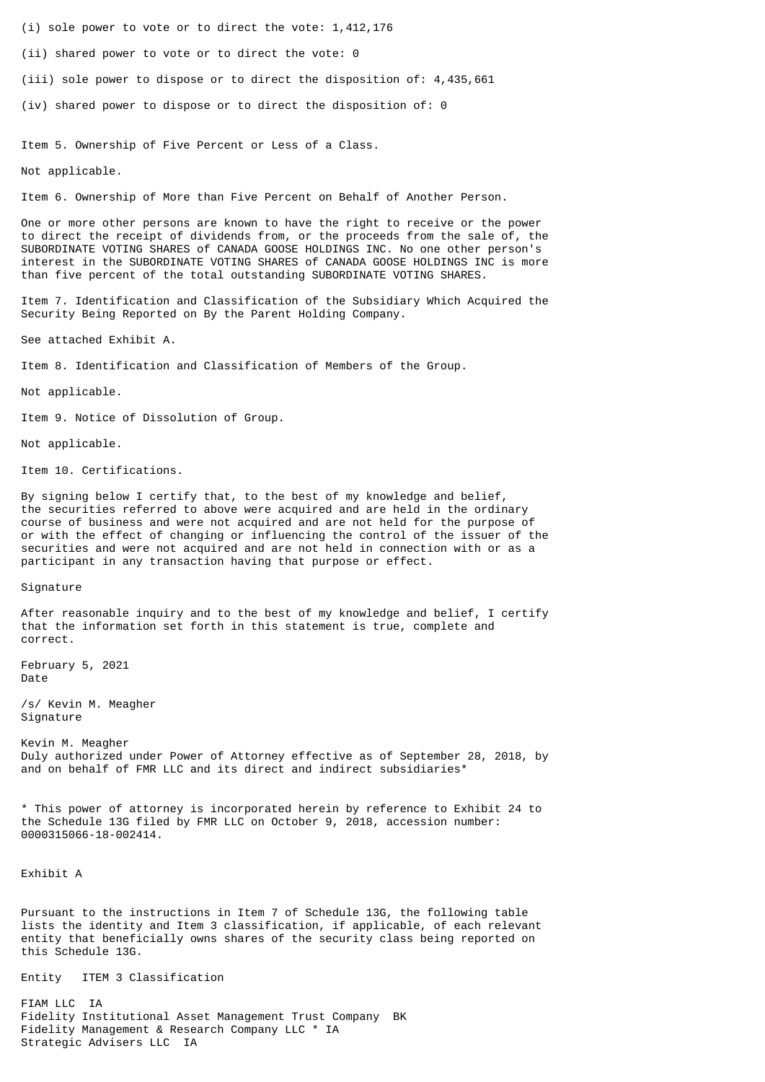(i) sole power to vote or to direct the vote: 1,412,176

(ii) shared power to vote or to direct the vote: 0

(iii) sole power to dispose or to direct the disposition of: 4,435,661

(iv) shared power to dispose or to direct the disposition of: 0

Item 5. Ownership of Five Percent or Less of a Class.

Not applicable.

Item 6. Ownership of More than Five Percent on Behalf of Another Person.

One or more other persons are known to have the right to receive or the power to direct the receipt of dividends from, or the proceeds from the sale of, the SUBORDINATE VOTING SHARES of CANADA GOOSE HOLDINGS INC. No one other person's interest in the SUBORDINATE VOTING SHARES of CANADA GOOSE HOLDINGS INC is more than five percent of the total outstanding SUBORDINATE VOTING SHARES.

Item 7. Identification and Classification of the Subsidiary Which Acquired the Security Being Reported on By the Parent Holding Company.

See attached Exhibit A.

Item 8. Identification and Classification of Members of the Group.

Not applicable.

Item 9. Notice of Dissolution of Group.

Not applicable.

Item 10. Certifications.

By signing below I certify that, to the best of my knowledge and belief, the securities referred to above were acquired and are held in the ordinary course of business and were not acquired and are not held for the purpose of or with the effect of changing or influencing the control of the issuer of the securities and were not acquired and are not held in connection with or as a participant in any transaction having that purpose or effect.

Signature

After reasonable inquiry and to the best of my knowledge and belief, I certify that the information set forth in this statement is true, complete and correct.

February 5, 2021 Date

/s/ Kevin M. Meagher Signature

Kevin M. Meagher Duly authorized under Power of Attorney effective as of September 28, 2018, by and on behalf of FMR LLC and its direct and indirect subsidiaries\*

\* This power of attorney is incorporated herein by reference to Exhibit 24 to the Schedule 13G filed by FMR LLC on October 9, 2018, accession number: 0000315066-18-002414.

Exhibit A

Pursuant to the instructions in Item 7 of Schedule 13G, the following table lists the identity and Item 3 classification, if applicable, of each relevant entity that beneficially owns shares of the security class being reported on this Schedule 13G.

Entity ITEM 3 Classification

FIAM LLC IA Fidelity Institutional Asset Management Trust Company BK Fidelity Management & Research Company LLC \* IA Strategic Advisers LLC IA